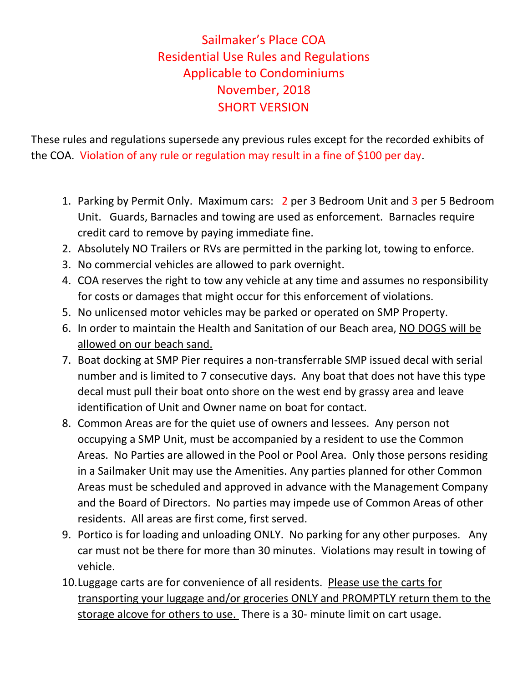## Sailmaker's Place COA Residential Use Rules and Regulations Applicable to Condominiums November, 2018 SHORT VERSION

These rules and regulations supersede any previous rules except for the recorded exhibits of the COA. Violation of any rule or regulation may result in a fine of \$100 per day.

- 1. Parking by Permit Only. Maximum cars: 2 per 3 Bedroom Unit and 3 per 5 Bedroom Unit. Guards, Barnacles and towing are used as enforcement. Barnacles require credit card to remove by paying immediate fine.
- 2. Absolutely NO Trailers or RVs are permitted in the parking lot, towing to enforce.
- 3. No commercial vehicles are allowed to park overnight.
- 4. COA reserves the right to tow any vehicle at any time and assumes no responsibility for costs or damages that might occur for this enforcement of violations.
- 5. No unlicensed motor vehicles may be parked or operated on SMP Property.
- 6. In order to maintain the Health and Sanitation of our Beach area, NO DOGS will be allowed on our beach sand.
- 7. Boat docking at SMP Pier requires a non-transferrable SMP issued decal with serial number and is limited to 7 consecutive days. Any boat that does not have this type decal must pull their boat onto shore on the west end by grassy area and leave identification of Unit and Owner name on boat for contact.
- 8. Common Areas are for the quiet use of owners and lessees. Any person not occupying a SMP Unit, must be accompanied by a resident to use the Common Areas. No Parties are allowed in the Pool or Pool Area. Only those persons residing in a Sailmaker Unit may use the Amenities. Any parties planned for other Common Areas must be scheduled and approved in advance with the Management Company and the Board of Directors. No parties may impede use of Common Areas of other residents. All areas are first come, first served.
- 9. Portico is for loading and unloading ONLY. No parking for any other purposes. Any car must not be there for more than 30 minutes. Violations may result in towing of vehicle.
- 10.Luggage carts are for convenience of all residents. Please use the carts for transporting your luggage and/or groceries ONLY and PROMPTLY return them to the storage alcove for others to use. There is a 30- minute limit on cart usage.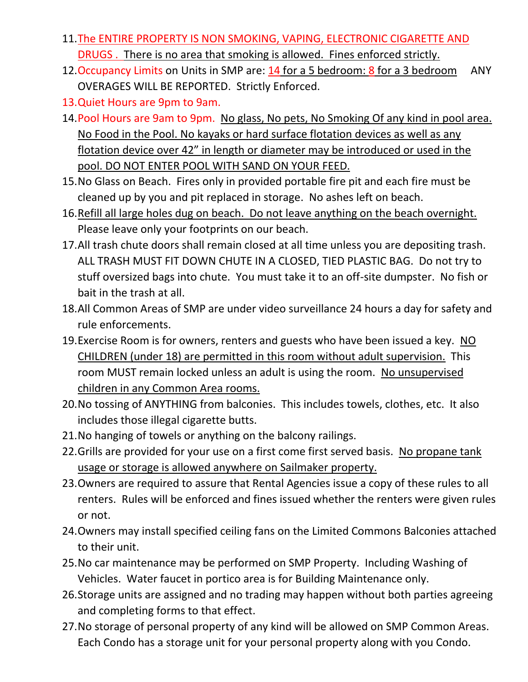- 11.The ENTIRE PROPERTY IS NON SMOKING, VAPING, ELECTRONIC CIGARETTE AND DRUGS . There is no area that smoking is allowed. Fines enforced strictly.
- 12. Occupancy Limits on Units in SMP are: 14 for a 5 bedroom: 8 for a 3 bedroom ANY OVERAGES WILL BE REPORTED. Strictly Enforced.
- 13.Quiet Hours are 9pm to 9am.
- 14.Pool Hours are 9am to 9pm. No glass, No pets, No Smoking Of any kind in pool area. No Food in the Pool. No kayaks or hard surface flotation devices as well as any flotation device over 42" in length or diameter may be introduced or used in the pool. DO NOT ENTER POOL WITH SAND ON YOUR FEED.
- 15.No Glass on Beach. Fires only in provided portable fire pit and each fire must be cleaned up by you and pit replaced in storage. No ashes left on beach.
- 16.Refill all large holes dug on beach. Do not leave anything on the beach overnight. Please leave only your footprints on our beach.
- 17.All trash chute doors shall remain closed at all time unless you are depositing trash. ALL TRASH MUST FIT DOWN CHUTE IN A CLOSED, TIED PLASTIC BAG. Do not try to stuff oversized bags into chute. You must take it to an off-site dumpster. No fish or bait in the trash at all.
- 18.All Common Areas of SMP are under video surveillance 24 hours a day for safety and rule enforcements.
- 19.Exercise Room is for owners, renters and guests who have been issued a key. NO CHILDREN (under 18) are permitted in this room without adult supervision. This room MUST remain locked unless an adult is using the room. No unsupervised children in any Common Area rooms.
- 20.No tossing of ANYTHING from balconies. This includes towels, clothes, etc. It also includes those illegal cigarette butts.
- 21.No hanging of towels or anything on the balcony railings.
- 22.Grills are provided for your use on a first come first served basis. No propane tank usage or storage is allowed anywhere on Sailmaker property.
- 23.Owners are required to assure that Rental Agencies issue a copy of these rules to all renters. Rules will be enforced and fines issued whether the renters were given rules or not.
- 24.Owners may install specified ceiling fans on the Limited Commons Balconies attached to their unit.
- 25.No car maintenance may be performed on SMP Property. Including Washing of Vehicles. Water faucet in portico area is for Building Maintenance only.
- 26.Storage units are assigned and no trading may happen without both parties agreeing and completing forms to that effect.
- 27.No storage of personal property of any kind will be allowed on SMP Common Areas. Each Condo has a storage unit for your personal property along with you Condo.